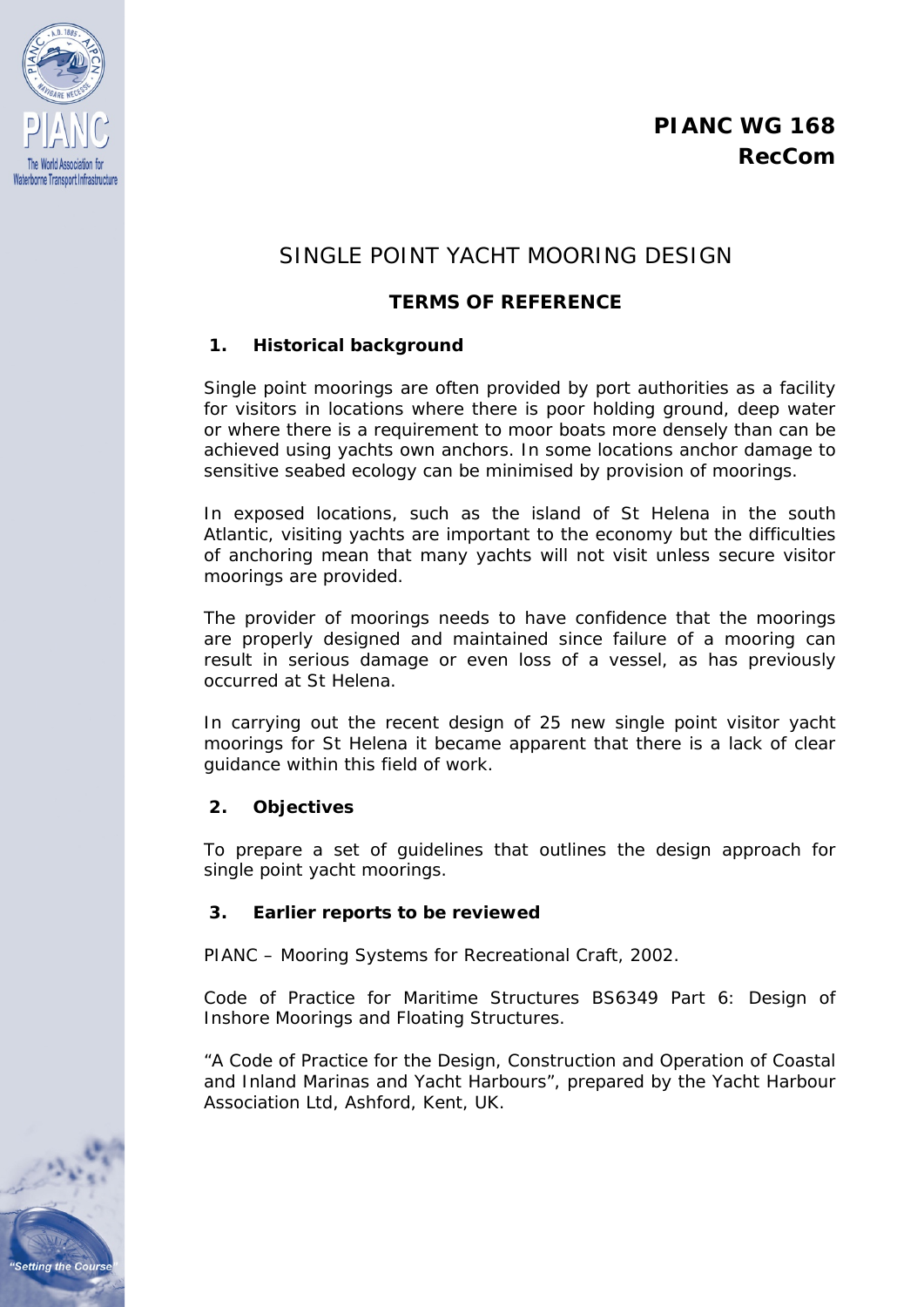

# SINGLE POINT YACHT MOORING DESIGN

## **TERMS OF REFERENCE**

#### **1. Historical background**

Single point moorings are often provided by port authorities as a facility for visitors in locations where there is poor holding ground, deep water or where there is a requirement to moor boats more densely than can be achieved using yachts own anchors. In some locations anchor damage to sensitive seabed ecology can be minimised by provision of moorings.

In exposed locations, such as the island of St Helena in the south Atlantic, visiting yachts are important to the economy but the difficulties of anchoring mean that many yachts will not visit unless secure visitor moorings are provided.

The provider of moorings needs to have confidence that the moorings are properly designed and maintained since failure of a mooring can result in serious damage or even loss of a vessel, as has previously occurred at St Helena.

In carrying out the recent design of 25 new single point visitor yacht moorings for St Helena it became apparent that there is a lack of clear guidance within this field of work.

### **2. Objectives**

To prepare a set of guidelines that outlines the design approach for single point yacht moorings.

#### **3. Earlier reports to be reviewed**

PIANC – Mooring Systems for Recreational Craft, 2002.

Code of Practice for Maritime Structures BS6349 Part 6: Design of Inshore Moorings and Floating Structures.

"A Code of Practice for the Design, Construction and Operation of Coastal and Inland Marinas and Yacht Harbours", prepared by the Yacht Harbour Association Ltd, Ashford, Kent, UK.